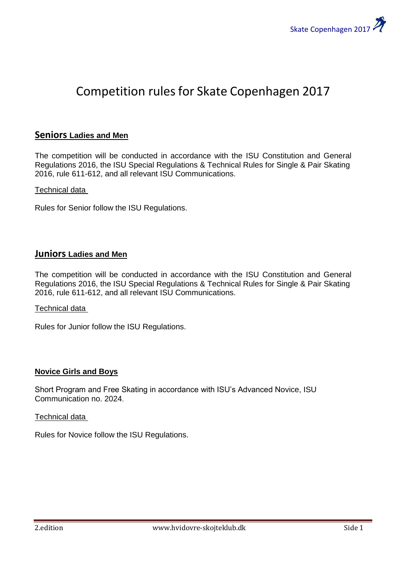# Competition rules for Skate Copenhagen 2017

# **Seniors Ladies and Men**

The competition will be conducted in accordance with the ISU Constitution and General Regulations 2016, the ISU Special Regulations & Technical Rules for Single & Pair Skating 2016, rule 611-612, and all relevant ISU Communications.

## Technical data

Rules for Senior follow the ISU Regulations.

## **Juniors Ladies and Men**

The competition will be conducted in accordance with the ISU Constitution and General Regulations 2016, the ISU Special Regulations & Technical Rules for Single & Pair Skating 2016, rule 611-612, and all relevant ISU Communications.

#### Technical data

Rules for Junior follow the ISU Regulations.

## **Novice Girls and Boys**

Short Program and Free Skating in accordance with ISU's Advanced Novice, ISU Communication no. 2024.

#### Technical data

Rules for Novice follow the ISU Regulations.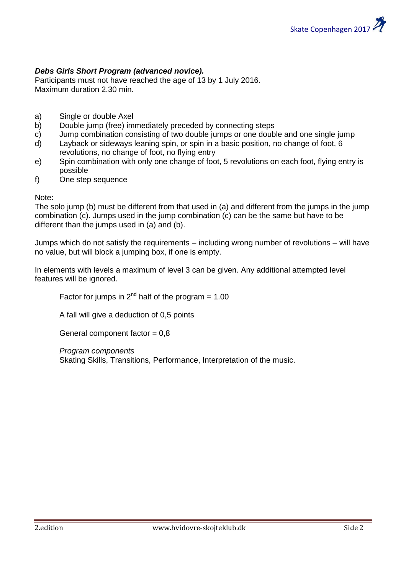# *Debs Girls Short Program (advanced novice).*

Participants must not have reached the age of 13 by 1 July 2016. Maximum duration 2.30 min.

- a) Single or double Axel
- b) Double jump (free) immediately preceded by connecting steps
- c) Jump combination consisting of two double jumps or one double and one single jump
- d) Layback or sideways leaning spin, or spin in a basic position, no change of foot, 6 revolutions, no change of foot, no flying entry
- e) Spin combination with only one change of foot, 5 revolutions on each foot, flying entry is possible
- f) One step sequence

## Note:

The solo jump (b) must be different from that used in (a) and different from the jumps in the jump combination (c). Jumps used in the jump combination (c) can be the same but have to be different than the jumps used in (a) and (b).

Jumps which do not satisfy the requirements – including wrong number of revolutions – will have no value, but will block a jumping box, if one is empty.

In elements with levels a maximum of level 3 can be given. Any additional attempted level features will be ignored.

Factor for jumps in  $2^{nd}$  half of the program = 1.00

A fall will give a deduction of 0,5 points

General component factor  $= 0.8$ 

*Program components*

Skating Skills, Transitions, Performance, Interpretation of the music.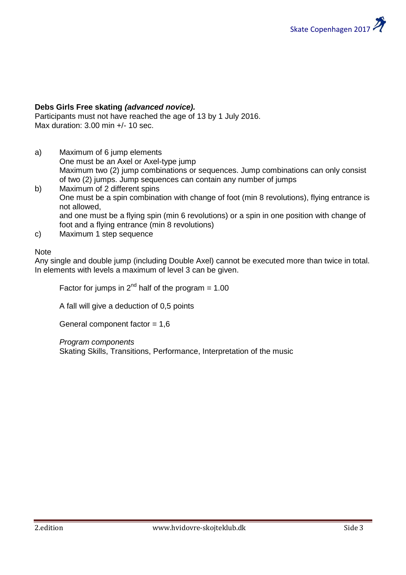## **Debs Girls Free skating** *(advanced novice).*

Participants must not have reached the age of 13 by 1 July 2016. Max duration: 3.00 min +/- 10 sec.

- a) Maximum of 6 jump elements One must be an Axel or Axel-type jump Maximum two (2) jump combinations or sequences. Jump combinations can only consist of two (2) jumps. Jump sequences can contain any number of jumps
- b) Maximum of 2 different spins One must be a spin combination with change of foot (min 8 revolutions), flying entrance is not allowed, and one must be a flying spin (min 6 revolutions) or a spin in one position with change of foot and a flying entrance (min 8 revolutions)
- c) Maximum 1 step sequence

#### **Note**

Any single and double jump (including Double Axel) cannot be executed more than twice in total. In elements with levels a maximum of level 3 can be given.

Factor for jumps in  $2^{nd}$  half of the program = 1.00

A fall will give a deduction of 0,5 points

General component factor = 1,6

*Program components*

Skating Skills, Transitions, Performance, Interpretation of the music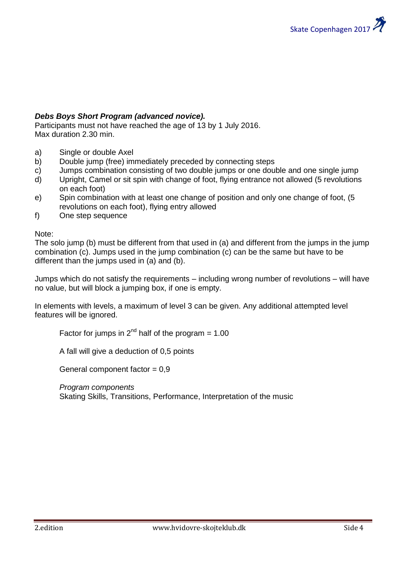# *Debs Boys Short Program (advanced novice).*

Participants must not have reached the age of 13 by 1 July 2016. Max duration 2.30 min.

- a) Single or double Axel
- b) Double jump (free) immediately preceded by connecting steps
- c) Jumps combination consisting of two double jumps or one double and one single jump
- d) Upright, Camel or sit spin with change of foot, flying entrance not allowed (5 revolutions on each foot)
- e) Spin combination with at least one change of position and only one change of foot, (5 revolutions on each foot), flying entry allowed
- f) One step sequence

Note:

The solo jump (b) must be different from that used in (a) and different from the jumps in the jump combination (c). Jumps used in the jump combination (c) can be the same but have to be different than the jumps used in (a) and (b).

Jumps which do not satisfy the requirements – including wrong number of revolutions – will have no value, but will block a jumping box, if one is empty.

In elements with levels, a maximum of level 3 can be given. Any additional attempted level features will be ignored.

Factor for jumps in  $2^{nd}$  half of the program = 1.00

A fall will give a deduction of 0,5 points

General component factor  $= 0.9$ 

*Program components*

Skating Skills, Transitions, Performance, Interpretation of the music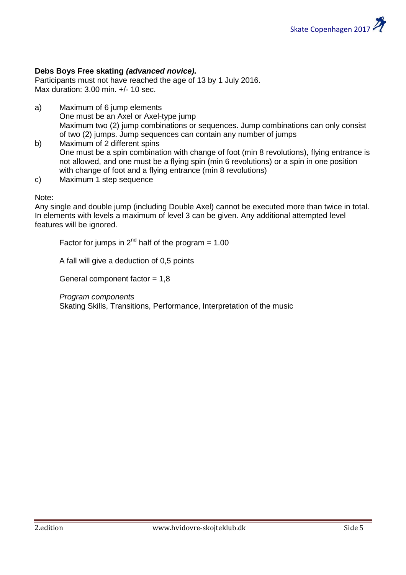## **Debs Boys Free skating** *(advanced novice).*

Participants must not have reached the age of 13 by 1 July 2016. Max duration: 3.00 min. +/- 10 sec.

- a) Maximum of 6 jump elements One must be an Axel or Axel-type jump Maximum two (2) jump combinations or sequences. Jump combinations can only consist of two (2) jumps. Jump sequences can contain any number of jumps
- b) Maximum of 2 different spins One must be a spin combination with change of foot (min 8 revolutions), flying entrance is not allowed, and one must be a flying spin (min 6 revolutions) or a spin in one position with change of foot and a flying entrance (min 8 revolutions)
- c) Maximum 1 step sequence

#### Note:

Any single and double jump (including Double Axel) cannot be executed more than twice in total. In elements with levels a maximum of level 3 can be given. Any additional attempted level features will be ignored.

Factor for jumps in  $2^{nd}$  half of the program = 1.00

A fall will give a deduction of 0,5 points

General component factor  $= 1,8$ 

*Program components*

Skating Skills, Transitions, Performance, Interpretation of the music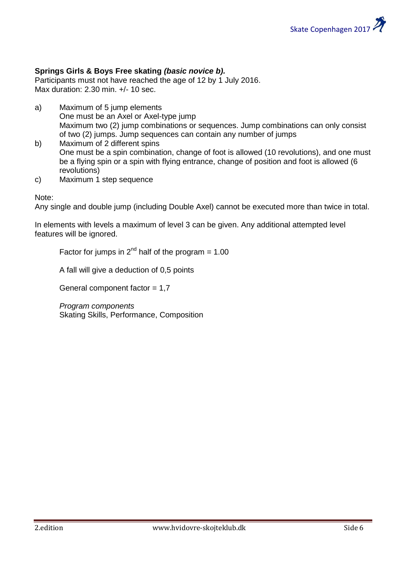## **Springs Girls & Boys Free skating** *(basic novice b).*

Participants must not have reached the age of 12 by 1 July 2016. Max duration: 2.30 min. +/- 10 sec.

- a) Maximum of 5 jump elements One must be an Axel or Axel-type jump Maximum two (2) jump combinations or sequences. Jump combinations can only consist of two (2) jumps. Jump sequences can contain any number of jumps
- b) Maximum of 2 different spins One must be a spin combination, change of foot is allowed (10 revolutions), and one must be a flying spin or a spin with flying entrance, change of position and foot is allowed (6 revolutions)
- c) Maximum 1 step sequence

Note:

Any single and double jump (including Double Axel) cannot be executed more than twice in total.

In elements with levels a maximum of level 3 can be given. Any additional attempted level features will be ignored.

Factor for jumps in  $2^{nd}$  half of the program = 1.00

A fall will give a deduction of 0,5 points

General component factor = 1,7

*Program components* Skating Skills, Performance, Composition